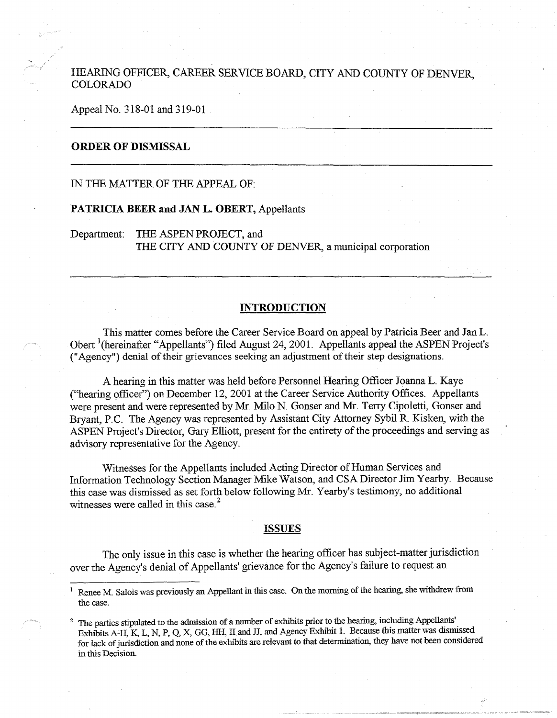HEARING OFFICER, CAREER SERVICE BOARD, CITY AND COUNTY OF DENVER, COLORADO .

Appeal No. 318-01 and 319-01

# **ORDER OF DISMISSAL**

### IN THE MATTER OF THE APPEAL OF:

## **PATRICIA BEER and JAN L. OBERT,** Appellants

Department: THE ASPEN PROJECT, and THE CITY AND COUNTY OF DENVER, a municipal corporation

## **INTRODUCTION**

This matter comes before the Career Service Board on appeal by Patricia Beer and Jan L. Obert <sup>1</sup> (hereinafter "Appellants") filed August 24, 2001. Appellants appeal the ASPEN Project's ("Agency") denial of their grievances seeking an adjustment of their step designations.

A hearing in this matter was held before Personnel Hearing Officer Joanna L. Kaye ("hearing officer") on December 12, 2001 at the Career Service Authority Offices. Appellants were present and were represented by Mr. Milo N. Gonser and Mr. Terry Cipoletti, Gonser and Bryant, P.C. The Agency was represented by Assistant City Attorney Sybil R Kisken, with the ASPEN Project's Director, Gary Elliott, present for the entirety of the proceedings and serving as advisory representative for the Agency.

Witnesses for the Appellants included Acting Director of Human Services and Information Technology Section Manager Mike Watson, and CSA Director Jim Yearby. Because this case was dismissed as set forth below following Mr. Yearby's testimony, no additional witnesses were called in this case.<sup>2</sup>

#### **ISSUES**

The only issue in this case is whether the hearing officer has subject-matter jurisdiction over the Agency's denial of Appellants' grievance for the Agency's failure to request an

Renee M. Salois was previously an Appellant in this case. On the morning of the hearing, she withdrew from the case.

<sup>&</sup>lt;sup>2</sup> The parties stipulated to the admission of a number of exhibits prior to the hearing, including Appellants' Exhibits A-H, K, L, N, P, Q, X, GG, HH, II and JJ, and Agency Exhibit 1. Because this matter was dismissed for lack of jurisdiction and none of the exlubits are relevant to that determination, they have not been considered in this Decision.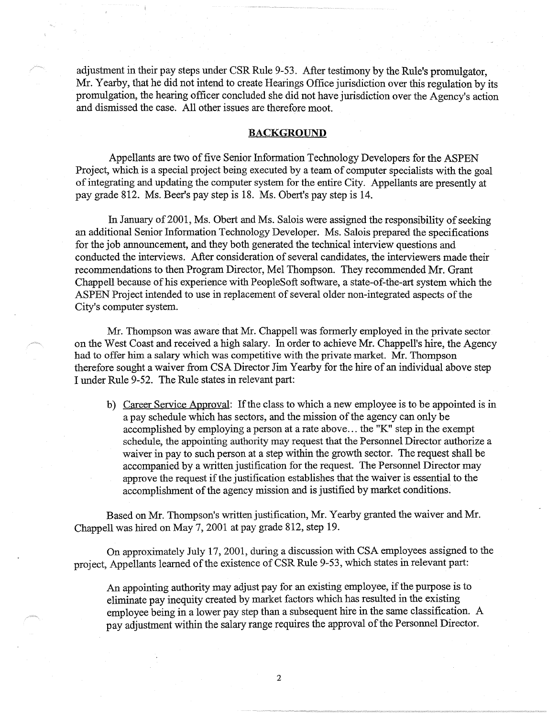adjustment in their pay steps under CSR Rule 9-53. After testimony by the Rule's promulgator, Mr. Yearby, that he did not intend to create Hearings Office jurisdiction over this regulation by its promulgation, the hearing officer concluded she did not have jurisdiction over the Agency's action and dismissed the case. All other issues are therefore moot.

# **BACKGROUND**

Appellants are two of five Senior Information Technology Developers for the ASPEN Project, which is a special project being executed by a team of computer specialists with the goal of integrating and updating the computer system for the entire City. Appellants are presently at pay grade 812. Ms. Beer's pay step is 18. Ms. Obert's pay step is 14.

In January of 2001, Ms. Obert and Ms. Salois were assigned the responsibility of seeking an additional Senior Information Technology Developer. Ms. Salois prepared the specifications for the job announcement, and they both generated the technical interview questions and conducted the interviews. After consideration of several candidates, the interviewers made their recommendations to then Program Director, Mel Thompson. They recommended Mr. Grant Chappell because of his experience with PeopleSoft software, a state-of-the-art system which the ASPEN Project intended to use in replacement of several older non-integrated aspects of the City's computer system.

Mr. Thompson was aware that Mr. Chappell was formerly employed in the private sector on the West Coast and received a high salary. In order to achieve Mr. Chappell's hire, the Agency had to offer him a salary which was competitive with the private market. Mr. Thompson therefore sought a waiver from CSA Director Jim Yearby for the hire of an individual above step I under Rule 9-52. The Rule states in relevant part:

b) Career Service Approval: If the class to which a new employee is to be appointed is in a pay schedule which has sectors, and the mission of the agency can only be accomplished by employing a person at a rate above ... the "K" step in the exempt schedule, the appointing authority may request that the Personnel Director authorize a waiver in pay to such person at a step within the growth sector. The request shall be accompanied by a written justification for the request. The Personnel Director may approve the request if the justification establishes that the waiver is essential to the accomplishment of the agency mission and is justified by market conditions.

Based on Mr. Thompson's written justification, Mr. Yearby granted the waiver and Mr. Chappell was hired on May 7, 2001 at pay grade 812, step 19.

On approximately July 17, 2001, during a discussion with CSA employees assigned to the project, Appellants learned of the existence of CSR Rule 9-53, which states in relevant part:

An appointing authority may adjust pay for an existing employee, if the purpose is to eliminate pay inequity created by market factors which has resulted in the existing employee being in a lower pay step than a subsequent hire in the same classification. A pay adjustment within the salary range requires the approval of the Personnel Director.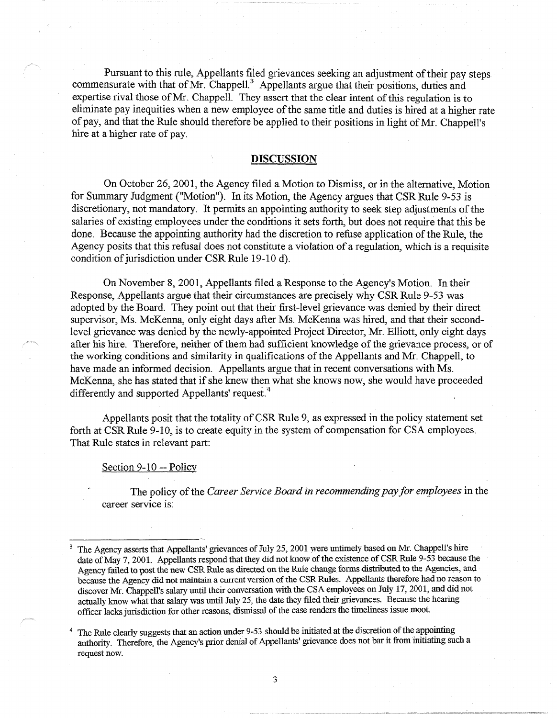Pursuant to this rule, Appellants filed grievances seeking an adjustment of their pay steps commensurate with that of Mr. Chappell.<sup>3</sup> Appellants argue that their positions, duties and expertise rival those of Mr. Chappell. They assert that the clear intent of this regulation is to eliminate pay inequities when a new employee of the same title and duties is hired at a higher rate of pay, and that the Rule should therefore be applied to their positions in light of Mr. Chappell's hire at a higher rate of pay.

# **DISCUSSION**

On October 26, 2001, the Agency filed a Motion to Dismiss, or in the alternative, Motion for Summary Judgment ("Motion"). In its Motion, the Agency argues that CSR Rule 9-53 is discretionary, not mandatory. It permits an appointing authority to seek step adjustments of the salaries of existing employees under the conditions it sets forth, but does not require that this be done. Because the appointing authority had the discretion to refuse application of the Rule, the Agency posits that this refusal does not constitute a violation of a regulation, which is a requisite condition of jurisdiction under CSR Rule 19-10 d).

On November 8, 2001, Appellants filed a Response to the Agency's Motion. In their Response, Appellants argue that their circumstances are precisely why CSR Rule 9-53 was adopted by the Board. They point out that their first-level grievance was denied by their direct supervisor, Ms. McKenna, only eight days after Ms. McKenna was hired, and that their secondlevel grievance was denied by the newly-appointed Project Director, Mr. Elliott, orily eight days after his hire. Therefore, neither of them had sufficient knowledge of the grievance process, or of the working conditions and similarity in qualifications of the Appellants and Mr. Chappell, to have made an informed decision. Appellants argue that in recent conversations with Ms. McKenna, she has stated that if she knew then what she knows now, she would have proceeded differently and supported Appellants' request.<sup>4</sup>

Appellants posit that the totality of CSR Rule 9, as expressed in the policy statement set forth at CSR Rule 9-10, is to create equity in the system of compensation for CSA employees. That Rule states in relevant part:

#### Section 9-10 -- Policy

The policy of the *Career Service Board in recommending pay for employees* in the career service is:

<sup>3</sup>The Agency asserts that Appellants' grievances of July 25, 2001 were untimely based on Mr. Chappell's hire date of May 7, 2001. Appellants respond that they did not know of the existence of CSR Rule 9-53 because the Agency failed to post the new CSR Rule as directed on the Rule change forms distributed to the Agencies, and because the Agency did not maintain a current version of the CSR Rules. Appellants therefore had no reason to discover Mr. Chappell's salary until their conversation with the CSA employees on July 17, 2001, and did not actually know what that salary was until July 25, the date they filed their grievances. Because the hearing officer lacks jurisdiction for other reasons, dismissal of the case renders the timeliness issue moot.

<sup>4</sup>The Rule clearly suggests that an action under 9-53 should be initiated at the discretion of the appointing authority. Therefore, the Agency's prior denial of Appellants' grievance does not bar it from initiating such a request now.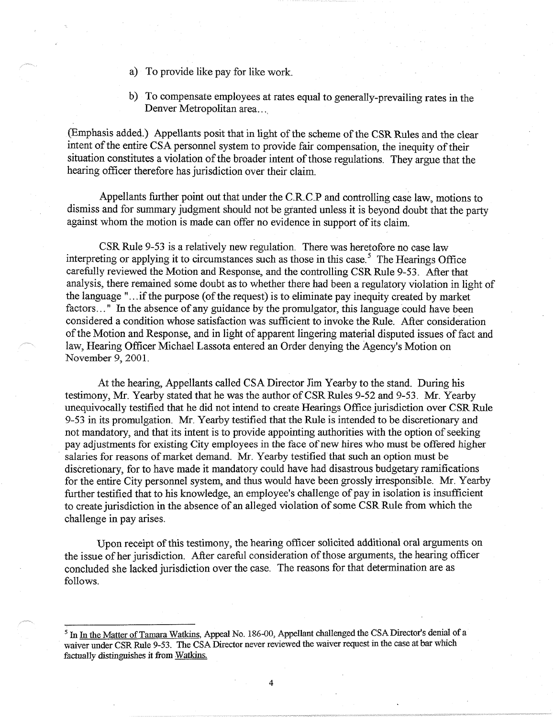- a) To provide like pay for like work.
- b) To compensate employees at rates equal to generally-prevailing rates in the Denver Metropolitan area...

(Emphasis added.) Appellants posit that in light of the scheme of the CSR Rules and the clear intent of the entire CSA personnel system to provide fair compensation, the inequity of their situation constitutes a violation of the broader intent of those regulations. They argue that the hearing officer therefore has jurisdiction over their claim.

Appellants further point out that under the C.R.C.P and controlling case law, motions to dismiss and for summary judgment should not be granted unless it is beyond doubt that the party against whom the motion is made can offer no evidence in support of its claim.

CSR Rule 9-53 is a relatively new regulation. There was heretofore no case law interpreting or applying it to circumstances such as those in this case.<sup>5</sup> The Hearings Office carefully reviewed the Motion and Response, and the controlling CSR Rule 9-53. After that analysis, there remained some doubt as to whether there had been a regulatory violation in light of the language " ... if the purpose ( of the request) is to eliminate pay inequity created by market factors..." In the absence of any guidance by the promulgator, this language could have been considered a condition whose satisfaction was sufficient to invoke the Rule. After consideration of the Motion and Response, and in light of apparent lingering material disputed issues of fact and law, Hearing Officer Michael Lassota entered an Order denying the Agency's Motion on November 9, 2001.

At the hearing, Appellants called CSA Director Jim Yearby to the stand. During his testimony, Mr. Yearby stated that he was the author of CSR Rules 9-52 and 9-53. Mr. Yearby unequivocally testified that he did not intend to create Hearings Office jurisdiction over CSR Rule 9-53 in its promulgation. Mr. Yearby testified that the Rule is intended to be discretionary and not mandatory, and that its intent is to provide appointing authorities with the option of seeking pay adjustments for existing City employees in the face of new hires who must be offered higher salaries for reasons of market demand. Mr. Yearby testified that such an option must be discretionary, for to have made it mandatory could have had disastrous budgetary ramifications for the entire City personnel system, and thus would have been grossly irresponsible. Mr. Yearby further testified that to his knowledge, an employee's challenge of pay in isolation is insufficient to create jurisdiction in the absence of an alleged violation of some CSR Rule from which the challenge in pay arises.

Upon receipt of this testimony, the hearing officer solicited additional oral arguments on the issue of her jurisdiction. After careful consideration of those arguments, the hearing officer concluded she lacked jurisdiction over the case. The reasons for that determination are as follows.

<sup>&</sup>lt;sup>5</sup> In In the Matter of Tamara Watkins, Appeal No. 186-00, Appellant challenged the CSA Director's denial of a waiver under CSR Rule 9-53. The CSA Director never reviewed the waiver request in the case at bar which factually distinguishes it from Watkins.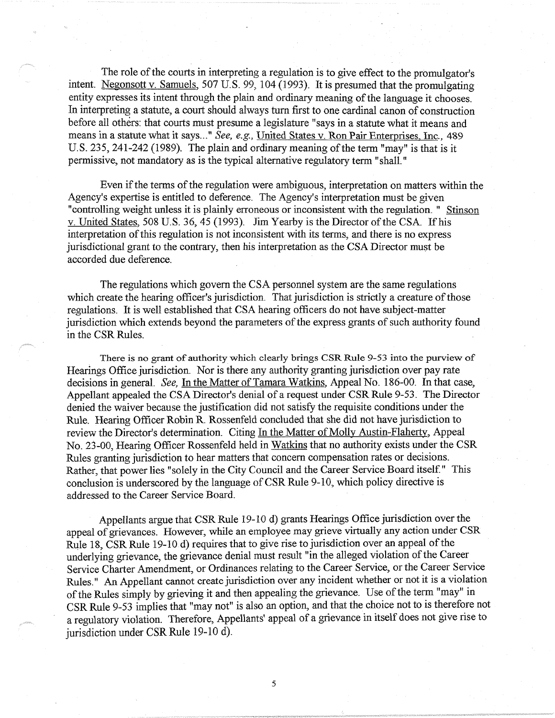The role of the courts in interpreting a regulation is to give effect to the promulgator's mtent. Negonsott v. Samuels, 507 U.S. 99, 104 (1993). It is presumed that the promulgating entity expresses its intent through the plain and ordinary meaning of the language it chooses. In interpreting a statute, a court should always tum first to one cardinal canon of construction before all others: that courts must presume a legislature "says in a statute what it means and means in a statute what it says..." See, e.g., *United States v. Ron Pair Enterprises*, Inc., 489 U.S. 235, 241-242 (1989). The plain and ordinary meaning of the term "may" is that is it permissive, not mandatory as is the typical alternative regulatory term "shall."

Even if the terms of the regulation were ambiguous, interpretation on matters within the Agency's expertise is entitled to deference. The Agency's interpretation must be given "controlling weight unless it is plainly erroneous or inconsistent with the regulation. " Stinson v. United States, 508 U.S. 36, 45 (1993). Jim Yearby is the Director of the CSA. If his interpretation of this regulation is not inconsistent with its terms, and there is no express jurisdictional grant to the contrary, then his interpretation as the CSA Director must be accorded due deference.

The regulations which govern the CSA personnel system are the same regulations which create the hearing officer's jurisdiction. That jurisdiction is strictly a creature of those regulations. It is well established that CSA hearing officers do not have subject-matter jurisdiction which extends beyond the parameters of the express grants of such authority found in the CSR Rules.

There is no grant of authority which clearly brings CSR Rule 9-53 into the purview of Hearings Office jurisdiction. Nor is there any authority granting jurisdiction over pay rate decisions in general. *See,* In the Matter of Tamara Watkins, Appeal No. 186-00. In that case, Appellant appealed the CSA Director's denial of a request under CSR Rule 9-53. The Director denied the waiver because the justification did not satisfy the requisite conditions under the Rule. Hearing Officer Robin R. Rossenfeld concluded that she did not have jurisdiction to review the Director's determination. Citing In the Matter of Molly Austin-Flaherty, Appeal No. 23-00, Hearing Officer Rossenfeld held in Watkins that no authority exists under the CSR Rules granting jurisdiction to hear matters that concern compensation rates or decisions. Rather, that power lies "solely in the City Council and the Career Service Board itself." This conclusion is underscored by the language of CSR Rule 9-10, which policy directive is addressed to the Career Service Board.

Appellants argue that CSR Rule 19-10 d) grants Hearings Office jurisdiction over the appeal of grievances. However, while an employee may grieve virtually any action under CSR Rule 18, CSR Rule 19-10 d) requires that to give rise to jurisdiction over an appeal of the underlying grievance, the grievance denial must result "in the alleged violation of the Career Service Charter Amendment, or Ordinances relating to the Career Service, or the Career Service Rules." An Appellant cannot create jurisdiction over any incident whether or not it is a violation of the Rules simply by grieving it and then appealing the grievance. Use of the term "may" in CSR Rule 9-53 implies that "may not" is also an option, and that the choice not to is therefore not a regulatory violation. Therefore, Appellants' appeal of a grievance in itself does not give rise to jurisdiction under CSR Rule 19-10 d).